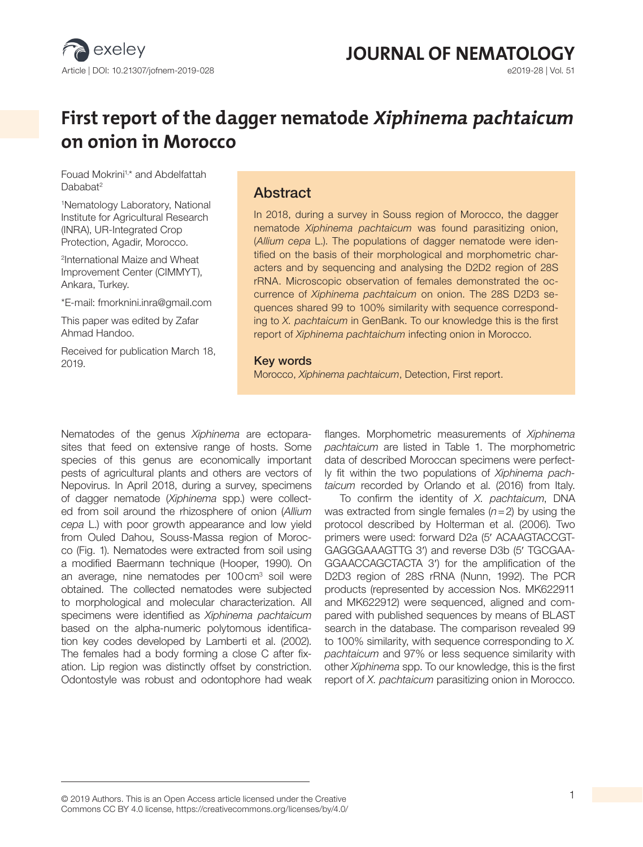

# **JOURNAL OF NEMATOLOGY**<br> **EQ019-28 | Vol. 51**

# **First report of the dagger nematode Xiphinema pachtaicum on onion in Morocco**

Fouad Mokrini1, \* and Abdelfattah Dababat<sup>2</sup>

1 Nematology Laboratory, National Institute for Agricultural Research (INRA), UR-Integrated Crop Protection, Agadir, Morocco.

2 International Maize and Wheat Improvement Center (CIMMYT), Ankara, Turkey.

\*E-mail: fmorknini.inra@gmail.com

This paper was edited by Zafar Ahmad Handoo.

Received for publication March 18, 2019.

## Abstract

In 2018, during a survey in Souss region of Morocco, the dagger nematode *Xiphinema pachtaicum* was found parasitizing onion, (*Allium cepa* L.). The populations of dagger nematode were identified on the basis of their morphological and morphometric characters and by sequencing and analysing the D2D2 region of 28S rRNA. Microscopic observation of females demonstrated the occurrence of *Xiphinema pachtaicum* on onion. The 28S D2D3 sequences shared 99 to 100% similarity with sequence corresponding to *X. pachtaicum* in GenBank. To our knowledge this is the first report of *Xiphinema pachtaichum* infecting onion in Morocco.

#### Key words

Morocco, *Xiphinema pachtaicum*, Detection, First report.

Nematodes of the genus *Xiphinema* are ectoparasites that feed on extensive range of hosts. Some species of this genus are economically important pests of agricultural plants and others are vectors of Nepovirus. In April 2018, during a survey, specimens of dagger nematode (*Xiphinema* spp.) were collected from soil around the rhizosphere of onion (*Allium cepa* L.) with poor growth appearance and low yield from Ouled Dahou, Souss-Massa region of Morocco (Fig. 1). Nematodes were extracted from soil using a modified Baermann technique (Hooper, 1990). On an average, nine nematodes per 100cm<sup>3</sup> soil were obtained. The collected nematodes were subjected to morphological and molecular characterization. All specimens were identified as *Xiphinema pachtaicum* based on the alpha-numeric polytomous identification key codes developed by Lamberti et al. (2002). The females had a body forming a close C after fixation. Lip region was distinctly offset by constriction. Odontostyle was robust and odontophore had weak

flanges. Morphometric measurements of *Xiphinema pachtaicum* are listed in Table 1. The morphometric data of described Moroccan specimens were perfectly fit within the two populations of *Xiphinema pachtaicum* recorded by Orlando et al. (2016) from Italy.

To confirm the identity of *X. pachtaicum*, DNA was extracted from single females (*n*=2) by using the protocol described by Holterman et al. (2006). Two primers were used: forward D2a (5′ ACAAGTACCGT-GAGGGAAAGTTG 3′) and reverse D3b (5′ TGCGAA-GGAACCAGCTACTA 3′) for the amplification of the D2D3 region of 28S rRNA (Nunn, 1992). The PCR products (represented by accession Nos. MK622911 and MK622912) were sequenced, aligned and compared with published sequences by means of BLAST search in the database. The comparison revealed 99 to 100% similarity, with sequence corresponding to *X. pachtaicum* and 97% or less sequence similarity with other *Xiphinema* spp. To our knowledge, this is the first report of *X. pachtaicum* parasitizing onion in Morocco.

<sup>© 2019</sup> Authors. This is an Open Access article licensed under the Creative 1 Commons CC BY 4.0 license, https://creativecommons.org/licenses/by/4.0/